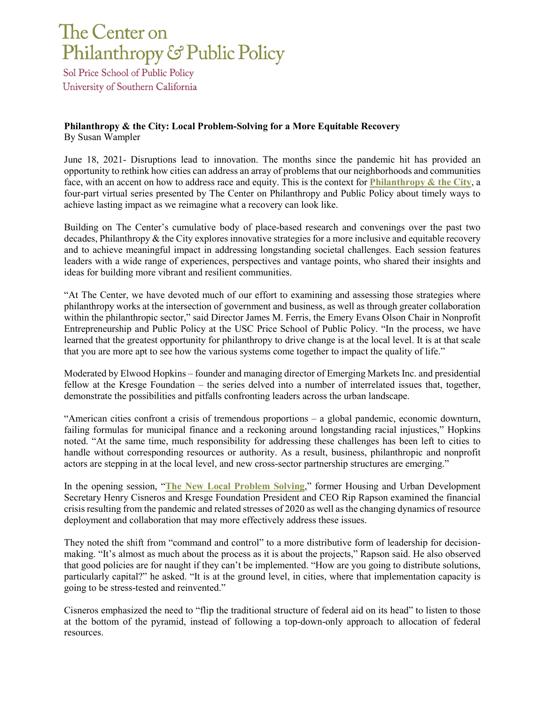## The Center on Philanthropy & Public Policy

Sol Price School of Public Policy University of Southern California

## **Philanthropy & the City: Local Problem-Solving for a More Equitable Recovery** By Susan Wampler

June 18, 2021- Disruptions lead to innovation. The months since the pandemic hit has provided an opportunity to rethink how cities can address an array of problems that our neighborhoods and communities face, with an accent on how to address race and equity. This is the context for **[Philanthropy & the City](https://cppp.usc.edu/forums-roundtables/philanthropy-and-the-city-2021/)**, a four-part virtual series presented by The Center on Philanthropy and Public Policy about timely ways to achieve lasting impact as we reimagine what a recovery can look like.

Building on The Center's cumulative body of place-based research and convenings over the past two decades, Philanthropy & the City explores innovative strategies for a more inclusive and equitable recovery and to achieve meaningful impact in addressing longstanding societal challenges. Each session features leaders with a wide range of experiences, perspectives and vantage points, who shared their insights and ideas for building more vibrant and resilient communities.

"At The Center, we have devoted much of our effort to examining and assessing those strategies where philanthropy works at the intersection of government and business, as well as through greater collaboration within the philanthropic sector," said Director James M. Ferris, the Emery Evans Olson Chair in Nonprofit Entrepreneurship and Public Policy at the USC Price School of Public Policy. "In the process, we have learned that the greatest opportunity for philanthropy to drive change is at the local level. It is at that scale that you are more apt to see how the various systems come together to impact the quality of life."

Moderated by Elwood Hopkins – founder and managing director of Emerging Markets Inc. and presidential fellow at the Kresge Foundation – the series delved into a number of interrelated issues that, together, demonstrate the possibilities and pitfalls confronting leaders across the urban landscape.

"American cities confront a crisis of tremendous proportions – a global pandemic, economic downturn, failing formulas for municipal finance and a reckoning around longstanding racial injustices," Hopkins noted. "At the same time, much responsibility for addressing these challenges has been left to cities to handle without corresponding resources or authority. As a result, business, philanthropic and nonprofit actors are stepping in at the local level, and new cross-sector partnership structures are emerging."

In the opening session, "**[The New Local Problem Solving](https://cppp.usc.edu/forums-roundtables/philanthropy-and-the-city-2021/the-new-local-problem-solving/)**," former Housing and Urban Development Secretary Henry Cisneros and Kresge Foundation President and CEO Rip Rapson examined the financial crisis resulting from the pandemic and related stresses of 2020 as well as the changing dynamics of resource deployment and collaboration that may more effectively address these issues.

They noted the shift from "command and control" to a more distributive form of leadership for decisionmaking. "It's almost as much about the process as it is about the projects," Rapson said. He also observed that good policies are for naught if they can't be implemented. "How are you going to distribute solutions, particularly capital?" he asked. "It is at the ground level, in cities, where that implementation capacity is going to be stress-tested and reinvented."

Cisneros emphasized the need to "flip the traditional structure of federal aid on its head" to listen to those at the bottom of the pyramid, instead of following a top-down-only approach to allocation of federal resources.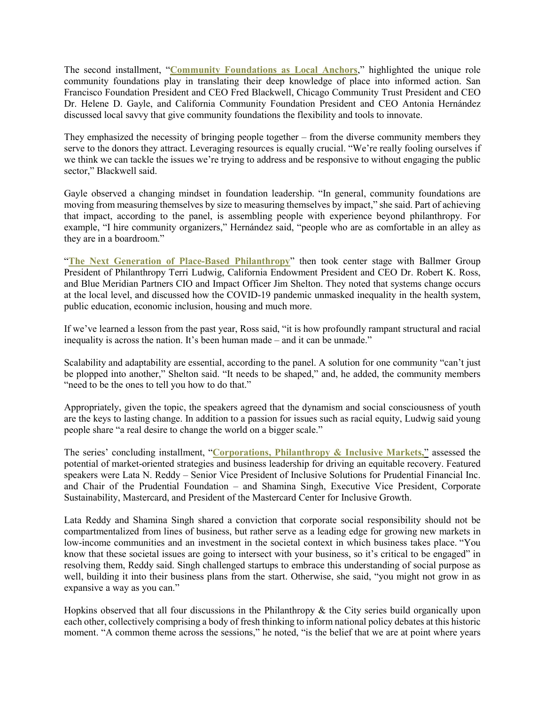The second installment, "**[Community Foundations as Local Anchors](https://cppp.usc.edu/forums-roundtables/philanthropy-and-the-city-2021/community-foundations-as-local-anchors/)**," highlighted the unique role community foundations play in translating their deep knowledge of place into informed action. San Francisco Foundation President and CEO Fred Blackwell, Chicago Community Trust President and CEO Dr. Helene D. Gayle, and California Community Foundation President and CEO Antonia Hernández discussed local savvy that give community foundations the flexibility and tools to innovate.

They emphasized the necessity of bringing people together – from the diverse community members they serve to the donors they attract. Leveraging resources is equally crucial. "We're really fooling ourselves if we think we can tackle the issues we're trying to address and be responsive to without engaging the public sector," Blackwell said.

Gayle observed a changing mindset in foundation leadership. "In general, community foundations are moving from measuring themselves by size to measuring themselves by impact," she said. Part of achieving that impact, according to the panel, is assembling people with experience beyond philanthropy. For example, "I hire community organizers," Hernández said, "people who are as comfortable in an alley as they are in a boardroom."

"**[The Next Generation of Place-Based Philanthropy](https://cppp.usc.edu/forums-roundtables/philanthropy-and-the-city-2021/the-next-generation-of-place-based-philanthropy/)**" then took center stage with Ballmer Group President of Philanthropy Terri Ludwig, California Endowment President and CEO Dr. Robert K. Ross, and Blue Meridian Partners CIO and Impact Officer Jim Shelton. They noted that systems change occurs at the local level, and discussed how the COVID-19 pandemic unmasked inequality in the health system, public education, economic inclusion, housing and much more.

If we've learned a lesson from the past year, Ross said, "it is how profoundly rampant structural and racial inequality is across the nation. It's been human made – and it can be unmade."

Scalability and adaptability are essential, according to the panel. A solution for one community "can't just be plopped into another," Shelton said. "It needs to be shaped," and, he added, the community members "need to be the ones to tell you how to do that."

Appropriately, given the topic, the speakers agreed that the dynamism and social consciousness of youth are the keys to lasting change. In addition to a passion for issues such as racial equity, Ludwig said young people share "a real desire to change the world on a bigger scale."

The series' concluding installment, "**[Corporations, Philanthropy & Inclusive Markets,](https://cppp.usc.edu/forums-roundtables/philanthropy-and-the-city-2021/corporations-philanthropy-and-inclusive-markets/)**" assessed the potential of market-oriented strategies and business leadership for driving an equitable recovery. Featured speakers were Lata N. Reddy – Senior Vice President of Inclusive Solutions for Prudential Financial Inc. and Chair of the Prudential Foundation – and Shamina Singh, Executive Vice President, Corporate Sustainability, Mastercard, and President of the Mastercard Center for Inclusive Growth.

Lata Reddy and Shamina Singh shared a conviction that corporate social responsibility should not be compartmentalized from lines of business, but rather serve as a leading edge for growing new markets in low-income communities and an investment in the societal context in which business takes place. "You know that these societal issues are going to intersect with your business, so it's critical to be engaged" in resolving them, Reddy said. Singh challenged startups to embrace this understanding of social purpose as well, building it into their business plans from the start. Otherwise, she said, "you might not grow in as expansive a way as you can."

Hopkins observed that all four discussions in the Philanthropy & the City series build organically upon each other, collectively comprising a body of fresh thinking to inform national policy debates at this historic moment. "A common theme across the sessions," he noted, "is the belief that we are at point where years